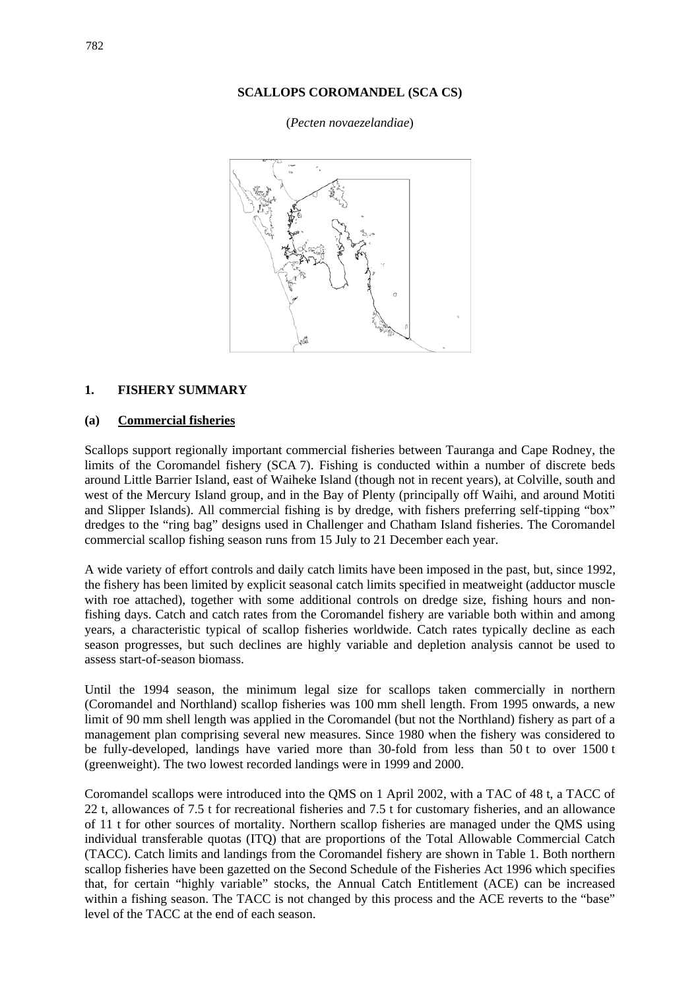## **SCALLOPS COROMANDEL (SCA CS)**

## (*Pecten novaezelandiae*)



## **1. FISHERY SUMMARY**

## **(a) Commercial fisheries**

Scallops support regionally important commercial fisheries between Tauranga and Cape Rodney, the limits of the Coromandel fishery (SCA 7). Fishing is conducted within a number of discrete beds around Little Barrier Island, east of Waiheke Island (though not in recent years), at Colville, south and west of the Mercury Island group, and in the Bay of Plenty (principally off Waihi, and around Motiti and Slipper Islands). All commercial fishing is by dredge, with fishers preferring self-tipping "box" dredges to the "ring bag" designs used in Challenger and Chatham Island fisheries. The Coromandel commercial scallop fishing season runs from 15 July to 21 December each year.

A wide variety of effort controls and daily catch limits have been imposed in the past, but, since 1992, the fishery has been limited by explicit seasonal catch limits specified in meatweight (adductor muscle with roe attached), together with some additional controls on dredge size, fishing hours and nonfishing days. Catch and catch rates from the Coromandel fishery are variable both within and among years, a characteristic typical of scallop fisheries worldwide. Catch rates typically decline as each season progresses, but such declines are highly variable and depletion analysis cannot be used to assess start-of-season biomass.

Until the 1994 season, the minimum legal size for scallops taken commercially in northern (Coromandel and Northland) scallop fisheries was 100 mm shell length. From 1995 onwards, a new limit of 90 mm shell length was applied in the Coromandel (but not the Northland) fishery as part of a management plan comprising several new measures. Since 1980 when the fishery was considered to be fully-developed, landings have varied more than 30-fold from less than 50 t to over 1500 t (greenweight). The two lowest recorded landings were in 1999 and 2000.

Coromandel scallops were introduced into the QMS on 1 April 2002, with a TAC of 48 t, a TACC of 22 t, allowances of 7.5 t for recreational fisheries and 7.5 t for customary fisheries, and an allowance of 11 t for other sources of mortality. Northern scallop fisheries are managed under the QMS using individual transferable quotas (ITQ) that are proportions of the Total Allowable Commercial Catch (TACC). Catch limits and landings from the Coromandel fishery are shown in Table 1. Both northern scallop fisheries have been gazetted on the Second Schedule of the Fisheries Act 1996 which specifies that, for certain "highly variable" stocks, the Annual Catch Entitlement (ACE) can be increased within a fishing season. The TACC is not changed by this process and the ACE reverts to the "base" level of the TACC at the end of each season.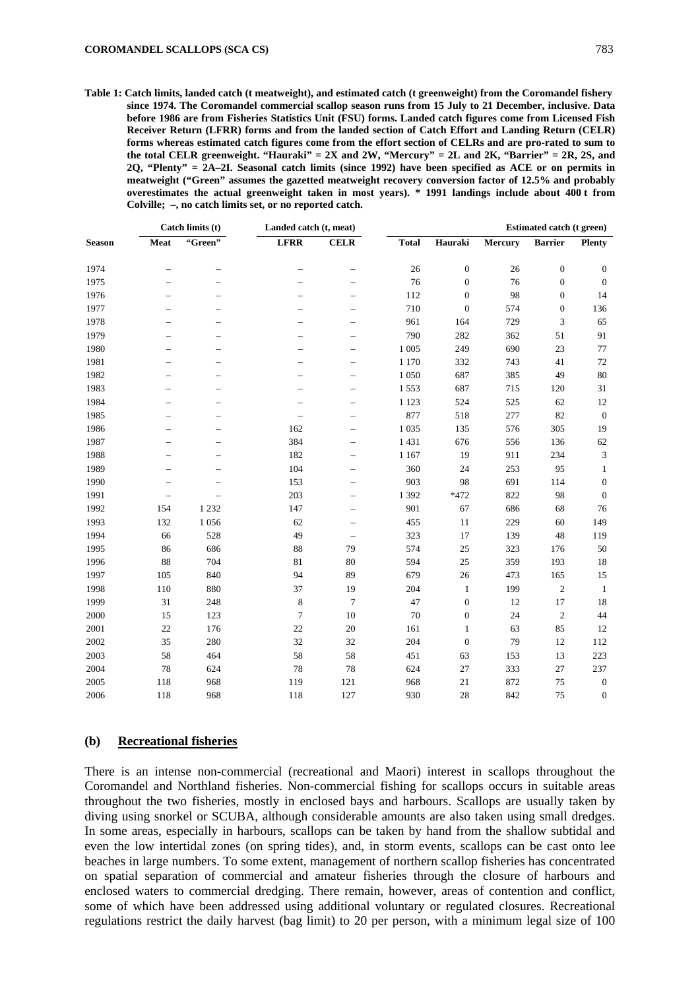**Table 1: Catch limits, landed catch (t meatweight), and estimated catch (t greenweight) from the Coromandel fishery since 1974. The Coromandel commercial scallop season runs from 15 July to 21 December, inclusive. Data before 1986 are from Fisheries Statistics Unit (FSU) forms. Landed catch figures come from Licensed Fish Receiver Return (LFRR) forms and from the landed section of Catch Effort and Landing Return (CELR) forms whereas estimated catch figures come from the effort section of CELRs and are pro-rated to sum to the total CELR greenweight. "Hauraki" = 2X and 2W, "Mercury" = 2L and 2K, "Barrier" = 2R, 2S, and 2Q, "Plenty" = 2A–2I. Seasonal catch limits (since 1992) have been specified as ACE or on permits in meatweight ("Green" assumes the gazetted meatweight recovery conversion factor of 12.5% and probably overestimates the actual greenweight taken in most years). \* 1991 landings include about 400 t from Colville; –, no catch limits set, or no reported catch.** 

|               | Catch limits (t)         |         | Landed catch (t, meat)   |                          | <b>Estimated catch (t green)</b> |                  |         |                  |                  |
|---------------|--------------------------|---------|--------------------------|--------------------------|----------------------------------|------------------|---------|------------------|------------------|
| <b>Season</b> | Meat                     | "Green" | <b>LFRR</b>              | <b>CELR</b>              | <b>Total</b>                     | Hauraki          | Mercury | <b>Barrier</b>   | Plenty           |
| 1974          | $\overline{\phantom{0}}$ |         | $\overline{\phantom{0}}$ |                          | 26                               | $\boldsymbol{0}$ | 26      | $\boldsymbol{0}$ | $\mathbf{0}$     |
| 1975          | $\overline{\phantom{0}}$ |         |                          | $\overline{\phantom{0}}$ | 76                               | $\boldsymbol{0}$ | 76      | $\boldsymbol{0}$ | $\boldsymbol{0}$ |
| 1976          |                          |         |                          | $\overline{\phantom{0}}$ | 112                              | $\boldsymbol{0}$ | 98      | $\boldsymbol{0}$ | 14               |
| 1977          |                          |         |                          | $\overline{\phantom{0}}$ | 710                              | $\boldsymbol{0}$ | 574     | $\mathbf{0}$     | 136              |
| 1978          |                          |         |                          | $\overline{\phantom{0}}$ | 961                              | 164              | 729     | 3                | 65               |
| 1979          | $\overline{\phantom{0}}$ |         |                          | $\overline{\phantom{0}}$ | 790                              | 282              | 362     | 51               | 91               |
| 1980          | $\overline{\phantom{0}}$ |         |                          | $\overline{\phantom{0}}$ | 1 0 0 5                          | 249              | 690     | 23               | 77               |
| 1981          | $\overline{\phantom{a}}$ |         |                          | $\equiv$                 | 1 1 7 0                          | 332              | 743     | 41               | 72               |
| 1982          |                          |         |                          | $\overline{\phantom{0}}$ | 1 0 5 0                          | 687              | 385     | 49               | 80               |
| 1983          |                          |         |                          |                          | 1553                             | 687              | 715     | 120              | 31               |
| 1984          |                          |         |                          |                          | 1 1 2 3                          | 524              | 525     | 62               | 12               |
| 1985          | $\overline{\phantom{0}}$ |         |                          | $\overline{\phantom{0}}$ | 877                              | 518              | 277     | 82               | $\boldsymbol{0}$ |
| 1986          | $\overline{\phantom{0}}$ |         | 162                      | $\overline{\phantom{0}}$ | 1 0 3 5                          | 135              | 576     | 305              | 19               |
| 1987          | $\overline{\phantom{0}}$ |         | 384                      | $\overline{\phantom{0}}$ | 1431                             | 676              | 556     | 136              | 62               |
| 1988          | $\overline{\phantom{0}}$ |         | 182                      | $\overline{\phantom{0}}$ | 1 1 6 7                          | 19               | 911     | 234              | $\mathfrak{Z}$   |
| 1989          |                          |         | 104                      | $\overline{\phantom{0}}$ | 360                              | 24               | 253     | 95               | $\mathbf{1}$     |
| 1990          |                          |         | 153                      | $\overline{\phantom{0}}$ | 903                              | 98               | 691     | 114              | $\boldsymbol{0}$ |
| 1991          | $\overline{\phantom{0}}$ |         | 203                      | $\overline{\phantom{0}}$ | 1 3 9 2                          | $*472$           | 822     | 98               | $\mathbf{0}$     |
| 1992          | 154                      | 1 2 3 2 | 147                      | $\overline{\phantom{0}}$ | 901                              | 67               | 686     | 68               | 76               |
| 1993          | 132                      | 1056    | 62                       | $\overline{\phantom{0}}$ | 455                              | 11               | 229     | 60               | 149              |
| 1994          | 66                       | 528     | 49                       | $\overline{\phantom{0}}$ | 323                              | 17               | 139     | 48               | 119              |
| 1995          | 86                       | 686     | 88                       | 79                       | 574                              | 25               | 323     | 176              | 50               |
| 1996          | $88\,$                   | 704     | 81                       | 80                       | 594                              | 25               | 359     | 193              | 18               |
| 1997          | 105                      | 840     | 94                       | 89                       | 679                              | $26\,$           | 473     | 165              | 15               |
| 1998          | 110                      | 880     | 37                       | 19                       | 204                              | $\mathbf{1}$     | 199     | $\sqrt{2}$       | $\mathbf{1}$     |
| 1999          | 31                       | 248     | 8                        | $\tau$                   | 47                               | $\boldsymbol{0}$ | 12      | 17               | 18               |
| 2000          | 15                       | 123     | 7                        | 10                       | 70                               | $\boldsymbol{0}$ | 24      | $\overline{2}$   | 44               |
| 2001          | 22                       | 176     | $22\,$                   | 20                       | 161                              | $\mathbf{1}$     | 63      | 85               | 12               |
| 2002          | 35                       | 280     | 32                       | 32                       | 204                              | $\boldsymbol{0}$ | 79      | 12               | 112              |
| 2003          | 58                       | 464     | 58                       | 58                       | 451                              | 63               | 153     | 13               | 223              |
| 2004          | 78                       | 624     | 78                       | 78                       | 624                              | 27               | 333     | 27               | 237              |
| 2005          | 118                      | 968     | 119                      | 121                      | 968                              | 21               | 872     | 75               | $\boldsymbol{0}$ |
| 2006          | 118                      | 968     | 118                      | 127                      | 930                              | 28               | 842     | 75               | $\mathbf{0}$     |

#### **(b) Recreational fisheries**

There is an intense non-commercial (recreational and Maori) interest in scallops throughout the Coromandel and Northland fisheries. Non-commercial fishing for scallops occurs in suitable areas throughout the two fisheries, mostly in enclosed bays and harbours. Scallops are usually taken by diving using snorkel or SCUBA, although considerable amounts are also taken using small dredges. In some areas, especially in harbours, scallops can be taken by hand from the shallow subtidal and even the low intertidal zones (on spring tides), and, in storm events, scallops can be cast onto lee beaches in large numbers. To some extent, management of northern scallop fisheries has concentrated on spatial separation of commercial and amateur fisheries through the closure of harbours and enclosed waters to commercial dredging. There remain, however, areas of contention and conflict, some of which have been addressed using additional voluntary or regulated closures. Recreational regulations restrict the daily harvest (bag limit) to 20 per person, with a minimum legal size of 100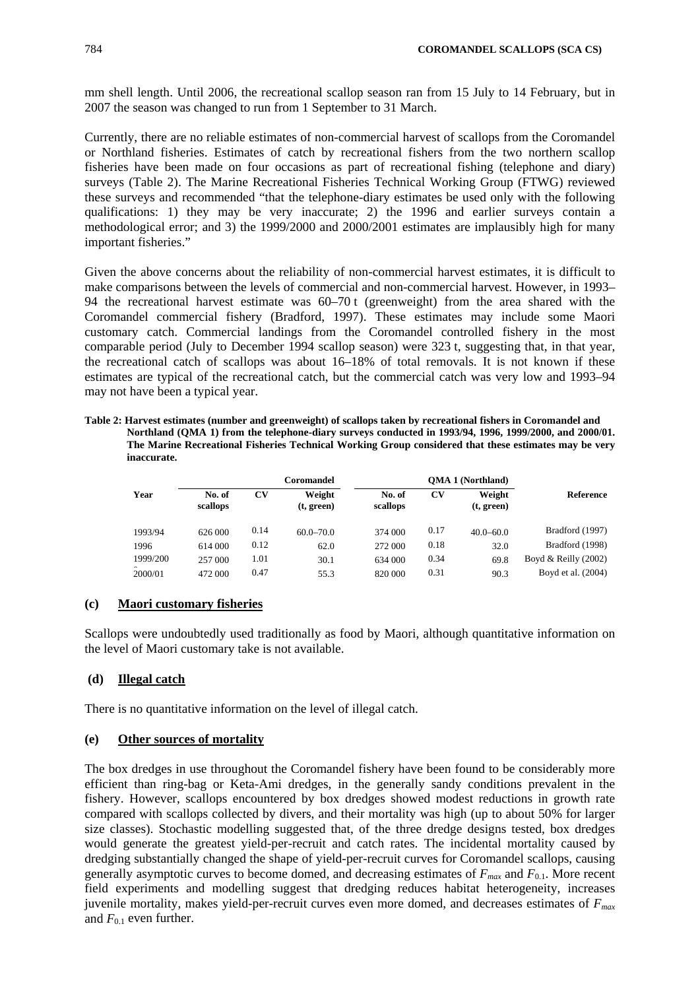mm shell length. Until 2006, the recreational scallop season ran from 15 July to 14 February, but in 2007 the season was changed to run from 1 September to 31 March.

Currently, there are no reliable estimates of non-commercial harvest of scallops from the Coromandel or Northland fisheries. Estimates of catch by recreational fishers from the two northern scallop fisheries have been made on four occasions as part of recreational fishing (telephone and diary) surveys [\(Table 2\)](#page-2-0). The Marine Recreational Fisheries Technical Working Group (FTWG) reviewed these surveys and recommended "that the telephone-diary estimates be used only with the following qualifications: 1) they may be very inaccurate; 2) the 1996 and earlier surveys contain a methodological error; and 3) the 1999/2000 and 2000/2001 estimates are implausibly high for many important fisheries."

Given the above concerns about the reliability of non-commercial harvest estimates, it is difficult to make comparisons between the levels of commercial and non-commercial harvest. However, in 1993– 94 the recreational harvest estimate was 60–70 t (greenweight) from the area shared with the Coromandel commercial fishery (Bradford, 1997). These estimates may include some Maori customary catch. Commercial landings from the Coromandel controlled fishery in the most comparable period (July to December 1994 scallop season) were 323 t, suggesting that, in that year, the recreational catch of scallops was about 16–18% of total removals. It is not known if these estimates are typical of the recreational catch, but the commercial catch was very low and 1993–94 may not have been a typical year.

<span id="page-2-0"></span>**Table 2: Harvest estimates (number and greenweight) of scallops taken by recreational fishers in Coromandel and Northland (QMA 1) from the telephone-diary surveys conducted in 1993/94, 1996, 1999/2000, and 2000/01. The Marine Recreational Fisheries Technical Working Group considered that these estimates may be very inaccurate.** 

|          | Coromandel         |      |                      |                    |      |                      |                        |
|----------|--------------------|------|----------------------|--------------------|------|----------------------|------------------------|
| Year     | No. of<br>scallops | CV   | Weight<br>(t, green) | No. of<br>scallops | CV   | Weight<br>(t, green) | Reference              |
| 1993/94  | 626 000            | 0.14 | $60.0 - 70.0$        | 374 000            | 0.17 | $40.0 - 60.0$        | Bradford (1997)        |
| 1996     | 614 000            | 0.12 | 62.0                 | 272 000            | 0.18 | 32.0                 | Bradford (1998)        |
| 1999/200 | 257 000            | 1.01 | 30.1                 | 634 000            | 0.34 | 69.8                 | Boyd & Reilly $(2002)$ |
| 2000/01  | 472 000            | 0.47 | 55.3                 | 820 000            | 0.31 | 90.3                 | Boyd et al. (2004)     |

### **(c) Maori customary fisheries**

Scallops were undoubtedly used traditionally as food by Maori, although quantitative information on the level of Maori customary take is not available.

# **(d) Illegal catch**

There is no quantitative information on the level of illegal catch.

### **(e) Other sources of mortality**

The box dredges in use throughout the Coromandel fishery have been found to be considerably more efficient than ring-bag or Keta-Ami dredges, in the generally sandy conditions prevalent in the fishery. However, scallops encountered by box dredges showed modest reductions in growth rate compared with scallops collected by divers, and their mortality was high (up to about 50% for larger size classes). Stochastic modelling suggested that, of the three dredge designs tested, box dredges would generate the greatest yield-per-recruit and catch rates. The incidental mortality caused by dredging substantially changed the shape of yield-per-recruit curves for Coromandel scallops, causing generally asymptotic curves to become domed, and decreasing estimates of  $F_{max}$  and  $F_{0,1}$ . More recent field experiments and modelling suggest that dredging reduces habitat heterogeneity, increases juvenile mortality, makes yield-per-recruit curves even more domed, and decreases estimates of *Fmax* and  $F_{0.1}$  even further.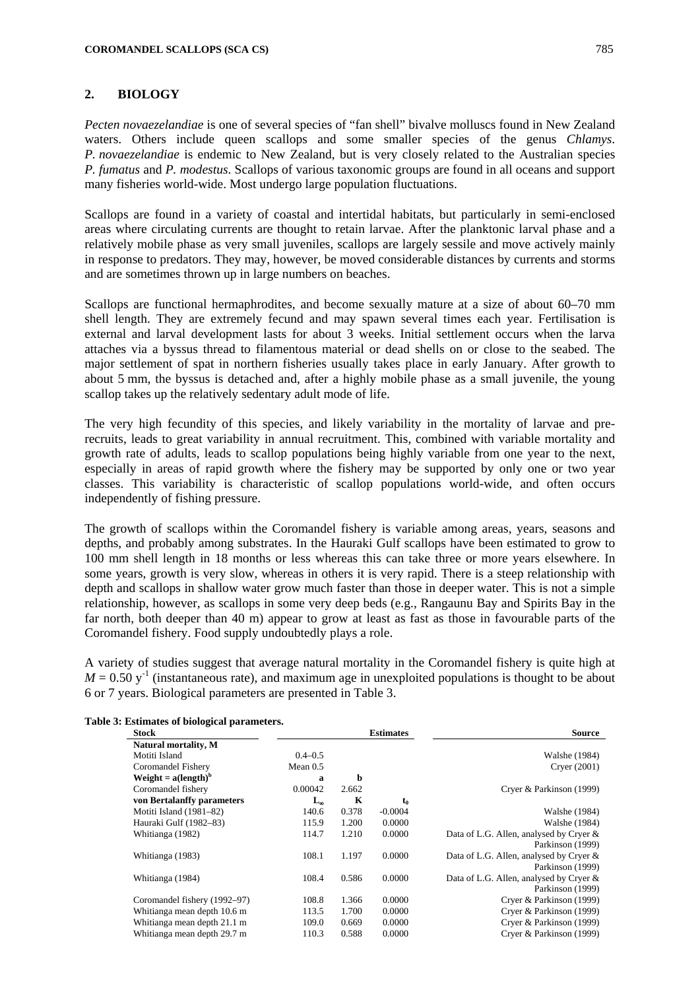## **2. BIOLOGY**

*Pecten novaezelandiae* is one of several species of "fan shell" bivalve molluscs found in New Zealand waters. Others include queen scallops and some smaller species of the genus *Chlamys*. *P. novaezelandiae* is endemic to New Zealand, but is very closely related to the Australian species *P. fumatus* and *P. modestus*. Scallops of various taxonomic groups are found in all oceans and support many fisheries world-wide. Most undergo large population fluctuations.

Scallops are found in a variety of coastal and intertidal habitats, but particularly in semi-enclosed areas where circulating currents are thought to retain larvae. After the planktonic larval phase and a relatively mobile phase as very small juveniles, scallops are largely sessile and move actively mainly in response to predators. They may, however, be moved considerable distances by currents and storms and are sometimes thrown up in large numbers on beaches.

Scallops are functional hermaphrodites, and become sexually mature at a size of about 60–70 mm shell length. They are extremely fecund and may spawn several times each year. Fertilisation is external and larval development lasts for about 3 weeks. Initial settlement occurs when the larva attaches via a byssus thread to filamentous material or dead shells on or close to the seabed. The major settlement of spat in northern fisheries usually takes place in early January. After growth to about 5 mm, the byssus is detached and, after a highly mobile phase as a small juvenile, the young scallop takes up the relatively sedentary adult mode of life.

The very high fecundity of this species, and likely variability in the mortality of larvae and prerecruits, leads to great variability in annual recruitment. This, combined with variable mortality and growth rate of adults, leads to scallop populations being highly variable from one year to the next, especially in areas of rapid growth where the fishery may be supported by only one or two year classes. This variability is characteristic of scallop populations world-wide, and often occurs independently of fishing pressure.

The growth of scallops within the Coromandel fishery is variable among areas, years, seasons and depths, and probably among substrates. In the Hauraki Gulf scallops have been estimated to grow to 100 mm shell length in 18 months or less whereas this can take three or more years elsewhere. In some years, growth is very slow, whereas in others it is very rapid. There is a steep relationship with depth and scallops in shallow water grow much faster than those in deeper water. This is not a simple relationship, however, as scallops in some very deep beds (e.g., Rangaunu Bay and Spirits Bay in the far north, both deeper than 40 m) appear to grow at least as fast as those in favourable parts of the Coromandel fishery. Food supply undoubtedly plays a role.

A variety of studies suggest that average natural mortality in the Coromandel fishery is quite high at  $M = 0.50$  y<sup>-1</sup> (instantaneous rate), and maximum age in unexploited populations is thought to be about 6 or 7 years. Biological parameters are presented in Table 3.

| <b>Stock</b>                 |              |       | <b>Estimates</b> | <b>Source</b>                           |
|------------------------------|--------------|-------|------------------|-----------------------------------------|
| Natural mortality, M         |              |       |                  |                                         |
| Motiti Island                | $0.4 - 0.5$  |       |                  | Walshe (1984)                           |
| Coromandel Fishery           | Mean $0.5$   |       |                  | Cryer (2001)                            |
| Weight = $a(length)^b$       | a            | b     |                  |                                         |
| Coromandel fishery           | 0.00042      | 2.662 |                  | Cryer & Parkinson (1999)                |
| von Bertalanffy parameters   | $L_{\infty}$ | K     | t                |                                         |
| Motiti Island (1981–82)      | 140.6        | 0.378 | $-0.0004$        | Walshe (1984)                           |
| Hauraki Gulf (1982–83)       | 115.9        | 1.200 | 0.0000           | Walshe (1984)                           |
| Whitianga (1982)             | 114.7        | 1.210 | 0.0000           | Data of L.G. Allen, analysed by Cryer & |
|                              |              |       |                  | Parkinson (1999)                        |
| Whitianga (1983)             | 108.1        | 1.197 | 0.0000           | Data of L.G. Allen, analysed by Cryer & |
|                              |              |       |                  | Parkinson (1999)                        |
| Whitianga (1984)             | 108.4        | 0.586 | 0.0000           | Data of L.G. Allen, analysed by Cryer & |
|                              |              |       |                  | Parkinson (1999)                        |
| Coromandel fishery (1992–97) | 108.8        | 1.366 | 0.0000           | Cryer & Parkinson (1999)                |
| Whitianga mean depth 10.6 m  | 113.5        | 1.700 | 0.0000           | Cryer & Parkinson (1999)                |
| Whitianga mean depth 21.1 m  | 109.0        | 0.669 | 0.0000           | Cryer & Parkinson (1999)                |
| Whitianga mean depth 29.7 m  | 110.3        | 0.588 | 0.0000           | Cryer & Parkinson (1999)                |

### **Table 3: Estimates of biological parameters.**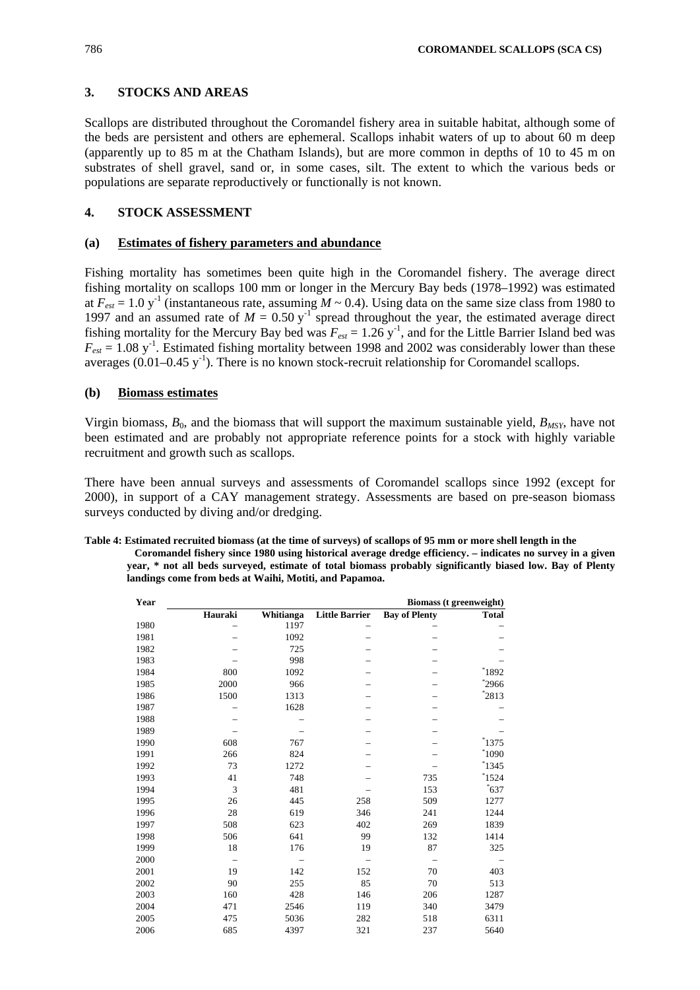# **3. STOCKS AND AREAS**

Scallops are distributed throughout the Coromandel fishery area in suitable habitat, although some of the beds are persistent and others are ephemeral. Scallops inhabit waters of up to about 60 m deep (apparently up to 85 m at the Chatham Islands), but are more common in depths of 10 to 45 m on substrates of shell gravel, sand or, in some cases, silt. The extent to which the various beds or populations are separate reproductively or functionally is not known.

# **4. STOCK ASSESSMENT**

# **(a) Estimates of fishery parameters and abundance**

Fishing mortality has sometimes been quite high in the Coromandel fishery. The average direct fishing mortality on scallops 100 mm or longer in the Mercury Bay beds (1978–1992) was estimated at  $F_{ext} = 1.0$  y<sup>-1</sup> (instantaneous rate, assuming  $M \sim 0.4$ ). Using data on the same size class from 1980 to 1997 and an assumed rate of  $M = 0.50$  y<sup>-1</sup> spread throughout the year, the estimated average direct fishing mortality for the Mercury Bay bed was  $F_{ext} = 1.26$  y<sup>-1</sup>, and for the Little Barrier Island bed was  $F_{\text{est}} = 1.08 \text{ y}^{-1}$ . Estimated fishing mortality between 1998 and 2002 was considerably lower than these averages  $(0.01-0.45 \text{ y}^{-1})$ . There is no known stock-recruit relationship for Coromandel scallops.

## **(b) Biomass estimates**

Virgin biomass,  $B_0$ , and the biomass that will support the maximum sustainable yield,  $B_{MSV}$ , have not been estimated and are probably not appropriate reference points for a stock with highly variable recruitment and growth such as scallops.

There have been annual surveys and assessments of Coromandel scallops since 1992 (except for 2000), in support of a CAY management strategy. Assessments are based on pre-season biomass surveys conducted by diving and/or dredging.

| Table 4: Estimated recruited biomass (at the time of surveys) of scallops of 95 mm or more shell length in the |
|----------------------------------------------------------------------------------------------------------------|
| Coromandel fishery since 1980 using historical average dredge efficiency. – indicates no survey in a given     |
| year, * not all beds surveyed, estimate of total biomass probably significantly biased low. Bay of Plenty      |
| landings come from beds at Waihi, Motiti, and Papamoa.                                                         |

| Biomass (t greenweight) |           |                       |                      |              |  |  |  |
|-------------------------|-----------|-----------------------|----------------------|--------------|--|--|--|
| Hauraki                 | Whitianga | <b>Little Barrier</b> | <b>Bay of Plenty</b> | <b>Total</b> |  |  |  |
|                         | 1197      |                       |                      |              |  |  |  |
|                         | 1092      |                       |                      |              |  |  |  |
|                         | 725       |                       |                      |              |  |  |  |
|                         | 998       |                       |                      |              |  |  |  |
| 800                     | 1092      |                       |                      | $^*1892$     |  |  |  |
| 2000                    | 966       |                       |                      | $*2966$      |  |  |  |
| 1500                    | 1313      |                       |                      | $*2813$      |  |  |  |
|                         | 1628      |                       |                      |              |  |  |  |
|                         |           |                       |                      |              |  |  |  |
|                         |           |                       |                      |              |  |  |  |
| 608                     | 767       |                       |                      | 1375         |  |  |  |
| 266                     | 824       |                       |                      | $^*1090$     |  |  |  |
| 73                      | 1272      |                       |                      | 1345         |  |  |  |
| 41                      | 748       |                       | 735                  | 1524         |  |  |  |
| 3                       | 481       |                       | 153                  | $^*$ 637     |  |  |  |
| 26                      | 445       | 258                   | 509                  | 1277         |  |  |  |
| 28                      | 619       | 346                   | 241                  | 1244         |  |  |  |
| 508                     | 623       | 402                   | 269                  | 1839         |  |  |  |
| 506                     | 641       | 99                    | 132                  | 1414         |  |  |  |
| 18                      | 176       | 19                    | 87                   | 325          |  |  |  |
| $\overline{a}$          |           |                       | $\qquad \qquad -$    |              |  |  |  |
| 19                      | 142       | 152                   | 70                   | 403          |  |  |  |
| 90                      | 255       | 85                    | 70                   | 513          |  |  |  |
| 160                     | 428       | 146                   | 206                  | 1287         |  |  |  |
| 471                     | 2546      | 119                   | 340                  | 3479         |  |  |  |
| 475                     | 5036      | 282                   | 518                  | 6311         |  |  |  |
| 685                     | 4397      | 321                   | 237                  | 5640         |  |  |  |
|                         |           |                       |                      |              |  |  |  |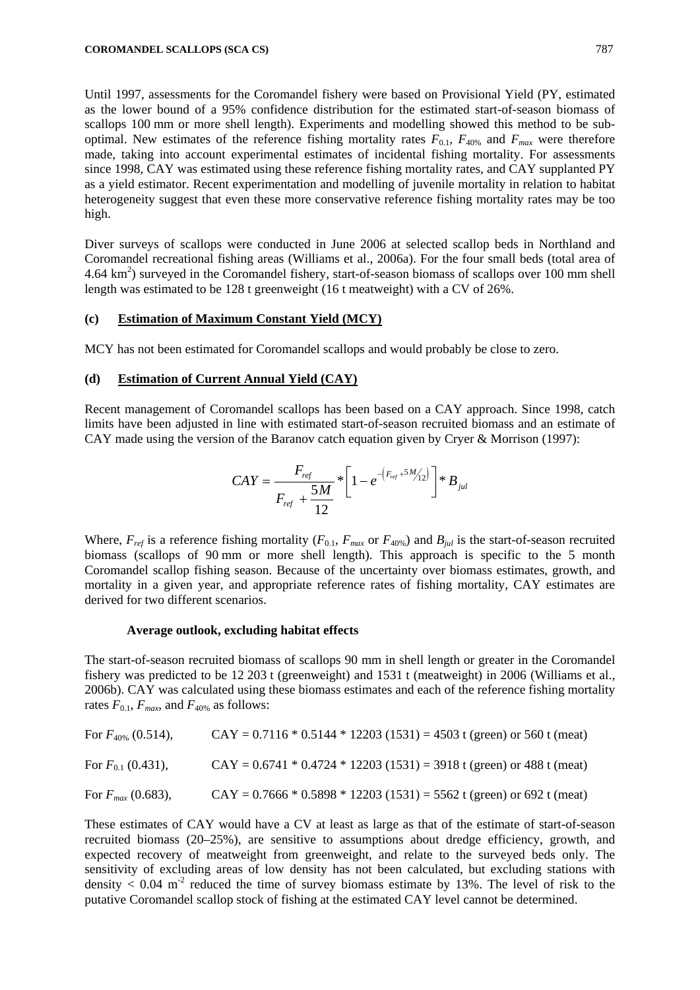Until 1997, assessments for the Coromandel fishery were based on Provisional Yield (PY, estimated as the lower bound of a 95% confidence distribution for the estimated start-of-season biomass of scallops 100 mm or more shell length). Experiments and modelling showed this method to be suboptimal. New estimates of the reference fishing mortality rates  $F_{0.1}$ ,  $F_{40\%}$  and  $F_{max}$  were therefore made, taking into account experimental estimates of incidental fishing mortality. For assessments since 1998, CAY was estimated using these reference fishing mortality rates, and CAY supplanted PY as a yield estimator. Recent experimentation and modelling of juvenile mortality in relation to habitat heterogeneity suggest that even these more conservative reference fishing mortality rates may be too high.

Diver surveys of scallops were conducted in June 2006 at selected scallop beds in Northland and Coromandel recreational fishing areas (Williams et al., 2006a). For the four small beds (total area of  $4.64 \text{ km}^2$ ) surveyed in the Coromandel fishery, start-of-season biomass of scallops over 100 mm shell length was estimated to be 128 t greenweight (16 t meatweight) with a CV of 26%.

### **(c) Estimation of Maximum Constant Yield (MCY)**

MCY has not been estimated for Coromandel scallops and would probably be close to zero.

## **(d) Estimation of Current Annual Yield (CAY)**

Recent management of Coromandel scallops has been based on a CAY approach. Since 1998, catch limits have been adjusted in line with estimated start-of-season recruited biomass and an estimate of CAY made using the version of the Baranov catch equation given by Cryer & Morrison (1997):

$$
CAY = \frac{F_{ref}}{F_{ref} + \frac{5M}{12}} * \left[1 - e^{-\left(F_{ref} + 5M_{12}'\right)}\right] * B_{jul}
$$

Where,  $F_{ref}$  is a reference fishing mortality ( $F_{0.1}$ ,  $F_{max}$  or  $F_{40\%}$ ) and  $B_{jul}$  is the start-of-season recruited biomass (scallops of 90 mm or more shell length). This approach is specific to the 5 month Coromandel scallop fishing season. Because of the uncertainty over biomass estimates, growth, and mortality in a given year, and appropriate reference rates of fishing mortality, CAY estimates are derived for two different scenarios.

#### **Average outlook, excluding habitat effects**

The start-of-season recruited biomass of scallops 90 mm in shell length or greater in the Coromandel fishery was predicted to be 12 203 t (greenweight) and 1531 t (meatweight) in 2006 (Williams et al., 2006b). CAY was calculated using these biomass estimates and each of the reference fishing mortality rates  $F_{0,1}$ ,  $F_{max}$ , and  $F_{40\%}$  as follows:

| For $F_{40\%}$ (0.514), | $CAY = 0.7116 * 0.5144 * 12203 (1531) = 4503$ t (green) or 560 t (meat) |
|-------------------------|-------------------------------------------------------------------------|
| For $F_{01}$ (0.431),   | $CAY = 0.6741 * 0.4724 * 12203 (1531) = 3918$ t (green) or 488 t (meat) |
| For $F_{max}$ (0.683),  | $CAY = 0.7666 * 0.5898 * 12203 (1531) = 5562$ t (green) or 692 t (meat) |

These estimates of CAY would have a CV at least as large as that of the estimate of start-of-season recruited biomass (20–25%), are sensitive to assumptions about dredge efficiency, growth, and expected recovery of meatweight from greenweight, and relate to the surveyed beds only. The sensitivity of excluding areas of low density has not been calculated, but excluding stations with density  $< 0.04$  m<sup>-2</sup> reduced the time of survey biomass estimate by 13%. The level of risk to the putative Coromandel scallop stock of fishing at the estimated CAY level cannot be determined.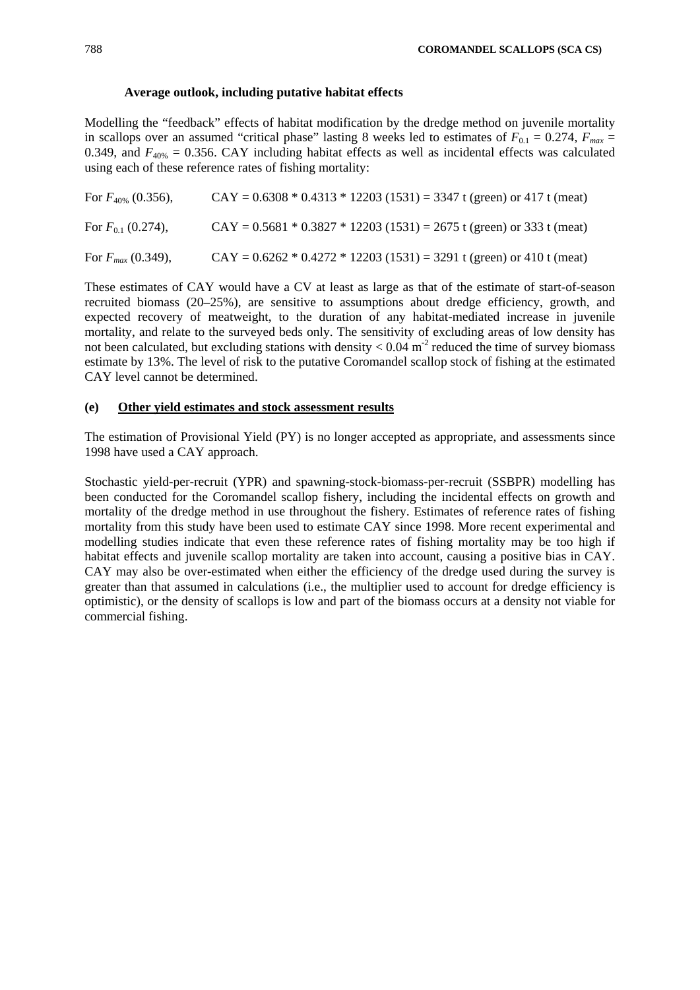# **Average outlook, including putative habitat effects**

Modelling the "feedback" effects of habitat modification by the dredge method on juvenile mortality in scallops over an assumed "critical phase" lasting 8 weeks led to estimates of  $F_{0,1} = 0.274$ ,  $F_{max} =$ 0.349, and  $F_{40\%} = 0.356$ . CAY including habitat effects as well as incidental effects was calculated using each of these reference rates of fishing mortality:

| For $F_{40\%}$ (0.356), | $CAY = 0.6308 * 0.4313 * 12203 (1531) = 3347$ t (green) or 417 t (meat) |
|-------------------------|-------------------------------------------------------------------------|
| For $F_{0,1}$ (0.274),  | $CAY = 0.5681 * 0.3827 * 12203 (1531) = 2675$ t (green) or 333 t (meat) |
| For $F_{max}$ (0.349),  | $CAY = 0.6262 * 0.4272 * 12203 (1531) = 3291$ t (green) or 410 t (meat) |

These estimates of CAY would have a CV at least as large as that of the estimate of start-of-season recruited biomass (20–25%), are sensitive to assumptions about dredge efficiency, growth, and expected recovery of meatweight, to the duration of any habitat-mediated increase in juvenile mortality, and relate to the surveyed beds only. The sensitivity of excluding areas of low density has not been calculated, but excluding stations with density  $< 0.04$  m<sup>-2</sup> reduced the time of survey biomass estimate by 13%. The level of risk to the putative Coromandel scallop stock of fishing at the estimated CAY level cannot be determined.

# **(e) Other yield estimates and stock assessment results**

The estimation of Provisional Yield (PY) is no longer accepted as appropriate, and assessments since 1998 have used a CAY approach.

Stochastic yield-per-recruit (YPR) and spawning-stock-biomass-per-recruit (SSBPR) modelling has been conducted for the Coromandel scallop fishery, including the incidental effects on growth and mortality of the dredge method in use throughout the fishery. Estimates of reference rates of fishing mortality from this study have been used to estimate CAY since 1998. More recent experimental and modelling studies indicate that even these reference rates of fishing mortality may be too high if habitat effects and juvenile scallop mortality are taken into account, causing a positive bias in CAY. CAY may also be over-estimated when either the efficiency of the dredge used during the survey is greater than that assumed in calculations (i.e., the multiplier used to account for dredge efficiency is optimistic), or the density of scallops is low and part of the biomass occurs at a density not viable for commercial fishing.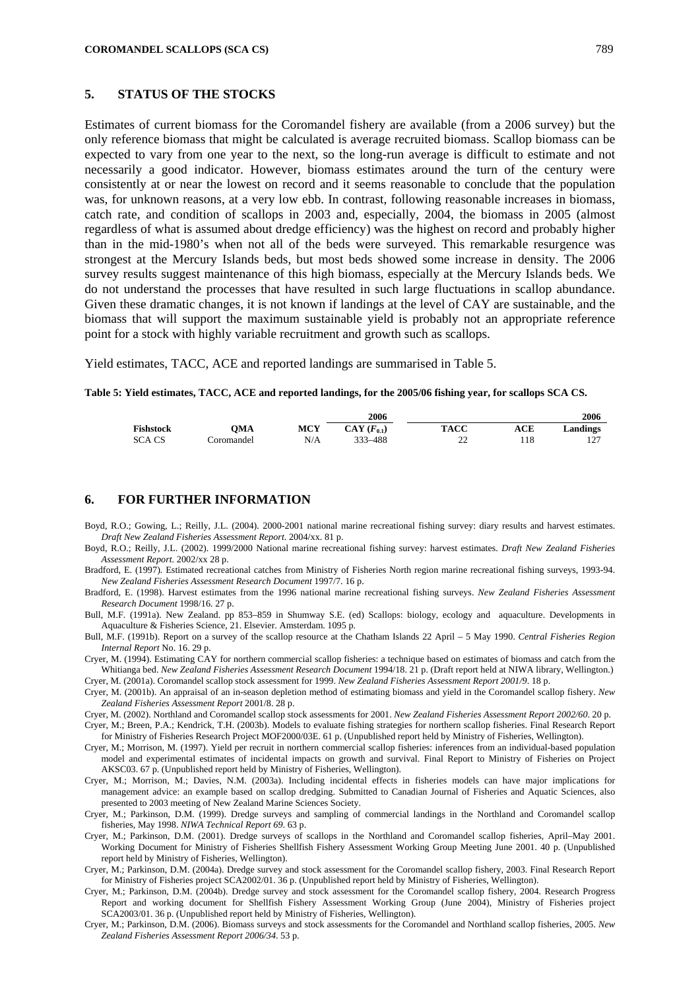### **5. STATUS OF THE STOCKS**

Estimates of current biomass for the Coromandel fishery are available (from a 2006 survey) but the only reference biomass that might be calculated is average recruited biomass. Scallop biomass can be expected to vary from one year to the next, so the long-run average is difficult to estimate and not necessarily a good indicator. However, biomass estimates around the turn of the century were consistently at or near the lowest on record and it seems reasonable to conclude that the population was, for unknown reasons, at a very low ebb. In contrast, following reasonable increases in biomass, catch rate, and condition of scallops in 2003 and, especially, 2004, the biomass in 2005 (almost regardless of what is assumed about dredge efficiency) was the highest on record and probably higher than in the mid-1980's when not all of the beds were surveyed. This remarkable resurgence was strongest at the Mercury Islands beds, but most beds showed some increase in density. The 2006 survey results suggest maintenance of this high biomass, especially at the Mercury Islands beds. We do not understand the processes that have resulted in such large fluctuations in scallop abundance. Given these dramatic changes, it is not known if landings at the level of CAY are sustainable, and the biomass that will support the maximum sustainable yield is probably not an appropriate reference point for a stock with highly variable recruitment and growth such as scallops.

Yield estimates, TACC, ACE and reported landings are summarised in Table 5.

**Table 5: Yield estimates, TACC, ACE and reported landings, for the 2005/06 fishing year, for scallops SCA CS.** 

|                  |             |            | 2006                      |             |     | 2006       |  |  |
|------------------|-------------|------------|---------------------------|-------------|-----|------------|--|--|
| <b>Fishstock</b> | OMA         | <b>MCY</b> | $\mathbf{CAY}$ $(F_{01})$ | <b>TACC</b> | ACE | Landings   |  |  |
| <b>SCACS</b>     | coromandel. | N/A        | 333 - 488                 | n^<br>∸     |     | 127<br>1/2 |  |  |

### **6. FOR FURTHER INFORMATION**

- Boyd, R.O.; Gowing, L.; Reilly, J.L. (2004). 2000-2001 national marine recreational fishing survey: diary results and harvest estimates. *Draft New Zealand Fisheries Assessment Report*. 2004/xx. 81 p.
- Boyd, R.O.; Reilly, J.L. (2002). 1999/2000 National marine recreational fishing survey: harvest estimates. *Draft New Zealand Fisheries Assessment Report.* 2002/xx 28 p.
- Bradford, E. (1997). Estimated recreational catches from Ministry of Fisheries North region marine recreational fishing surveys, 1993-94. *New Zealand Fisheries Assessment Research Document* 1997/7. 16 p.
- Bradford, E. (1998). Harvest estimates from the 1996 national marine recreational fishing surveys. *New Zealand Fisheries Assessment Research Document* 1998/16. 27 p.
- Bull, M.F. (1991a). New Zealand. pp 853–859 in Shumway S.E. (ed) Scallops: biology, ecology and aquaculture. Developments in Aquaculture & Fisheries Science, 21. Elsevier. Amsterdam. 1095 p.
- Bull, M.F. (1991b). Report on a survey of the scallop resource at the Chatham Islands 22 April 5 May 1990. *Central Fisheries Region Internal Report* No. 16. 29 p.
- Cryer, M. (1994). Estimating CAY for northern commercial scallop fisheries: a technique based on estimates of biomass and catch from the Whitianga bed. New Zealand Fisheries Assessment Research Document 1994/18. 21 p. (Draft report held at NIWA library, Wellington.)

Cryer, M. (2001a). Coromandel scallop stock assessment for 1999. *New Zealand Fisheries Assessment Report 2001/9*. 18 p.

Cryer, M. (2001b). An appraisal of an in-season depletion method of estimating biomass and yield in the Coromandel scallop fishery. *New Zealand Fisheries Assessment Report* 2001/8. 28 p.

Cryer, M. (2002). Northland and Coromandel scallop stock assessments for 2001. *New Zealand Fisheries Assessment Report 2002/60*. 20 p.

Cryer, M.; Breen, P.A.; Kendrick, T.H. (2003b). Models to evaluate fishing strategies for northern scallop fisheries. Final Research Report for Ministry of Fisheries Research Project MOF2000/03E. 61 p. (Unpublished report held by Ministry of Fisheries, Wellington).

- Cryer, M.; Morrison, M. (1997). Yield per recruit in northern commercial scallop fisheries: inferences from an individual-based population model and experimental estimates of incidental impacts on growth and survival. Final Report to Ministry of Fisheries on Project AKSC03. 67 p. (Unpublished report held by Ministry of Fisheries, Wellington).
- Cryer, M.; Morrison, M.; Davies, N.M. (2003a). Including incidental effects in fisheries models can have major implications for management advice: an example based on scallop dredging. Submitted to Canadian Journal of Fisheries and Aquatic Sciences, also presented to 2003 meeting of New Zealand Marine Sciences Society.
- Cryer, M.; Parkinson, D.M. (1999). Dredge surveys and sampling of commercial landings in the Northland and Coromandel scallop fisheries, May 1998. *NIWA Technical Report 69*. 63 p.
- Cryer, M.; Parkinson, D.M. (2001). Dredge surveys of scallops in the Northland and Coromandel scallop fisheries, April–May 2001. Working Document for Ministry of Fisheries Shellfish Fishery Assessment Working Group Meeting June 2001. 40 p. (Unpublished report held by Ministry of Fisheries, Wellington).
- Cryer, M.; Parkinson, D.M. (2004a). Dredge survey and stock assessment for the Coromandel scallop fishery, 2003. Final Research Report for Ministry of Fisheries project SCA2002/01. 36 p. (Unpublished report held by Ministry of Fisheries, Wellington).
- Cryer, M.; Parkinson, D.M. (2004b). Dredge survey and stock assessment for the Coromandel scallop fishery, 2004. Research Progress Report and working document for Shellfish Fishery Assessment Working Group (June 2004), Ministry of Fisheries project SCA2003/01. 36 p. (Unpublished report held by Ministry of Fisheries, Wellington).
- Cryer, M.; Parkinson, D.M. (2006). Biomass surveys and stock assessments for the Coromandel and Northland scallop fisheries, 2005. *New Zealand Fisheries Assessment Report 2006/34*. 53 p.